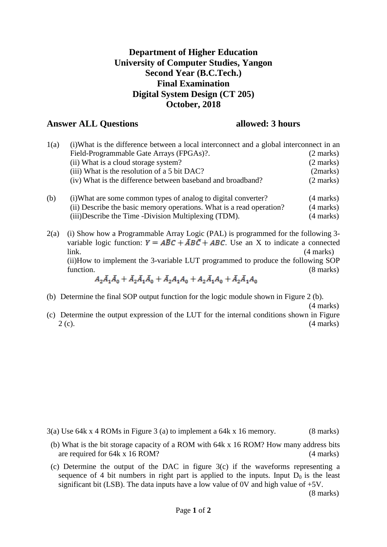## **Department of Higher Education University of Computer Studies, Yangon Second Year (B.C.Tech.) Final Examination Digital System Design (CT 205) October, 2018**

## **Answer ALL Questions allowed: 3 hours**

| 1(a)                                                                                                              | (i) What is the difference between a local interconnect and a global interconnect in an                                                  |                     |
|-------------------------------------------------------------------------------------------------------------------|------------------------------------------------------------------------------------------------------------------------------------------|---------------------|
|                                                                                                                   | Field-Programmable Gate Arrays (FPGAs)?.                                                                                                 | $(2 \text{ marks})$ |
|                                                                                                                   | (ii) What is a cloud storage system?                                                                                                     | $(2 \text{ marks})$ |
|                                                                                                                   | (iii) What is the resolution of a 5 bit DAC?                                                                                             | (2marks)            |
|                                                                                                                   | (iv) What is the difference between baseband and broadband?                                                                              | $(2 \text{ marks})$ |
| (b)                                                                                                               | (i) What are some common types of analog to digital converter?                                                                           | $(4 \text{ marks})$ |
|                                                                                                                   | (ii) Describe the basic memory operations. What is a read operation?                                                                     | $(4 \text{ marks})$ |
|                                                                                                                   | (iii) Describe the Time - Division Multiplexing (TDM).                                                                                   | $(4 \text{ marks})$ |
| 2(a)                                                                                                              | (i) Show how a Programmable Array Logic (PAL) is programmed for the following 3-                                                         |                     |
|                                                                                                                   | variable logic function: $Y = \overline{ABC} + \overline{A}B\overline{C} + \overline{A}B\overline{C}$ . Use an X to indicate a connected |                     |
|                                                                                                                   | link.                                                                                                                                    | (4 marks)           |
|                                                                                                                   | (ii)How to implement the 3-variable LUT programmed to produce the following SOP                                                          |                     |
|                                                                                                                   | function.                                                                                                                                | $(8 \text{ marks})$ |
| $A_2\bar{A}_1\bar{A}_0 + \bar{A}_2\bar{A}_1\bar{A}_0 + \bar{A}_2A_1A_0 + A_2\bar{A}_1A_0 + \bar{A}_2\bar{A}_1A_0$ |                                                                                                                                          |                     |
|                                                                                                                   |                                                                                                                                          |                     |

(b) Determine the final SOP output function for the logic module shown in Figure 2 (b).

(4 marks)

(c) Determine the output expression of the LUT for the internal conditions shown in Figure  $2 (c).$  (4 marks)

3(a) Use 64k x 4 ROMs in Figure 3 (a) to implement a 64k x 16 memory. (8 marks)

- (b) What is the bit storage capacity of a ROM with 64k x 16 ROM? How many address bits are required for 64k x 16 ROM? (4 marks)
- (c) Determine the output of the DAC in figure 3(c) if the waveforms representing a sequence of 4 bit numbers in right part is applied to the inputs. Input  $D_0$  is the least significant bit (LSB). The data inputs have a low value of  $0V$  and high value of  $+5V$ .

(8 marks)